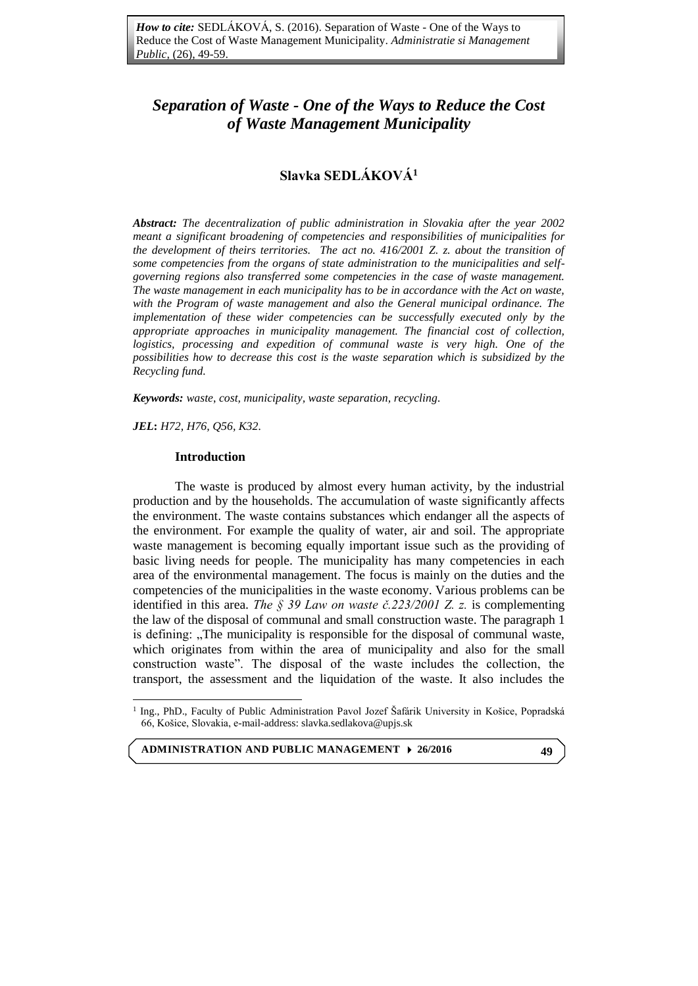# *Separation of Waste - One of the Ways to Reduce the Cost of Waste Management Municipality*

# **Slavka SEDLÁKOVÁ<sup>1</sup>**

*Abstract: The decentralization of public administration in Slovakia after the year 2002 meant a significant broadening of competencies and responsibilities of municipalities for the development of theirs territories. The act no. 416/2001 Z. z. about the transition of some competencies from the organs of state administration to the municipalities and selfgoverning regions also transferred some competencies in the case of waste management. The waste management in each municipality has to be in accordance with the Act on waste, with the Program of waste management and also the General municipal ordinance. The implementation of these wider competencies can be successfully executed only by the appropriate approaches in municipality management. The financial cost of collection, logistics, processing and expedition of communal waste is very high. One of the possibilities how to decrease this cost is the waste separation which is subsidized by the Recycling fund.*

*Keywords: waste*, *cost, municipality, waste separation, recycling.*

*JEL***:** *H72, H76, Q56, K32.* 

 $\overline{a}$ 

#### **Introduction**

The waste is produced by almost every human activity, by the industrial production and by the households. The accumulation of waste significantly affects the environment. The waste contains substances which endanger all the aspects of the environment. For example the quality of water, air and soil. The appropriate waste management is becoming equally important issue such as the providing of basic living needs for people. The municipality has many competencies in each area of the environmental management. The focus is mainly on the duties and the competencies of the municipalities in the waste economy. Various problems can be identified in this area. *The § 39 Law on waste č.223/2001 Z. z.* is complementing the law of the disposal of communal and small construction waste. The paragraph 1 is defining: "The municipality is responsible for the disposal of communal waste, which originates from within the area of municipality and also for the small construction waste". The disposal of the waste includes the collection, the transport, the assessment and the liquidation of the waste. It also includes the

**ADMINISTRATION AND PUBLIC MANAGEMENT 26/2016**

<sup>1</sup> Ing., PhD., Faculty of Public Administration Pavol Jozef Šafárik University in Košice, Popradská 66, Košice, Slovakia, e-mail-address: slavka.sedlakova@upjs.sk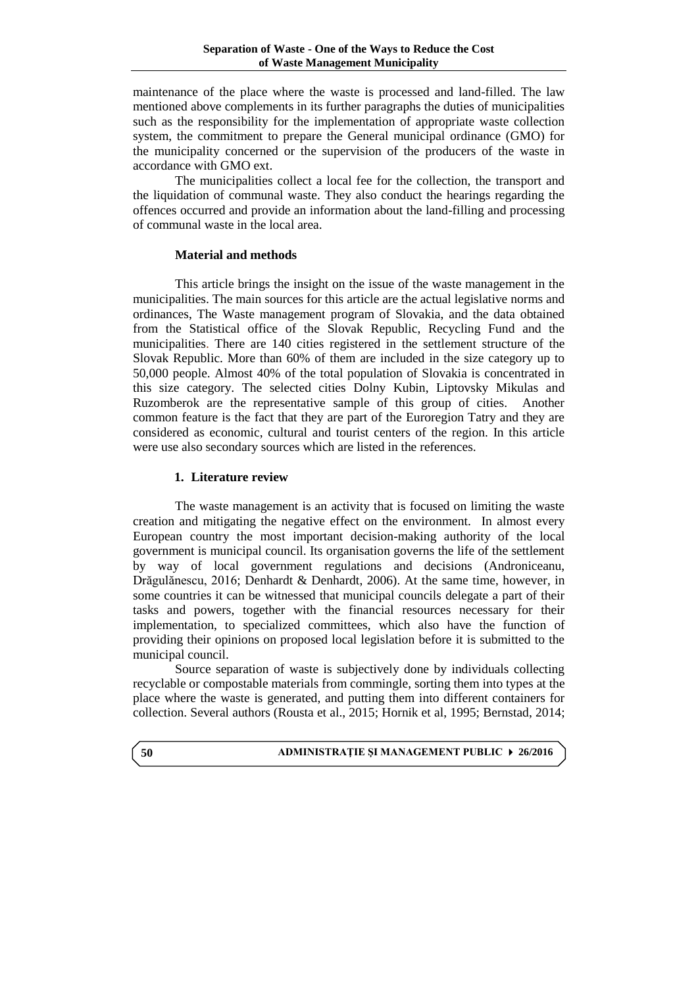maintenance of the place where the waste is processed and land-filled. The law mentioned above complements in its further paragraphs the duties of municipalities such as the responsibility for the implementation of appropriate waste collection system, the commitment to prepare the General municipal ordinance (GMO) for the municipality concerned or the supervision of the producers of the waste in accordance with GMO ext.

The municipalities collect a local fee for the collection, the transport and the liquidation of communal waste. They also conduct the hearings regarding the offences occurred and provide an information about the land-filling and processing of communal waste in the local area.

### **Material and methods**

This article brings the insight on the issue of the waste management in the municipalities. The main sources for this article are the actual legislative norms and ordinances, The Waste management program of Slovakia, and the data obtained from the Statistical office of the Slovak Republic, Recycling Fund and the municipalities. There are 140 cities registered in the settlement structure of the Slovak Republic. More than 60% of them are included in the size category up to 50,000 people. Almost 40% of the total population of Slovakia is concentrated in this size category. The selected cities Dolny Kubin, Liptovsky Mikulas and Ruzomberok are the representative sample of this group of cities. Another common feature is the fact that they are part of the Euroregion Tatry and they are considered as economic, cultural and tourist centers of the region. In this article were use also secondary sources which are listed in the references.

### **1. Literature review**

The waste management is an activity that is focused on limiting the waste creation and mitigating the negative effect on the environment. In almost every European country the most important decision-making authority of the local government is municipal council. Its organisation governs the life of the settlement by way of local government regulations and decisions (Androniceanu, Drăgulănescu, 2016; Denhardt & Denhardt, 2006). At the same time, however, in some countries it can be witnessed that municipal councils delegate a part of their tasks and powers, together with the financial resources necessary for their implementation, to specialized committees, which also have the function of providing their opinions on proposed local legislation before it is submitted to the municipal council.

Source separation of waste is subjectively done by individuals collecting recyclable or compostable materials from commingle, sorting them into types at the place where the waste is generated, and putting them into different containers for collection. Several authors (Rousta et al., 2015; Hornik et al, 1995; Bernstad, 2014;

#### **ADMINISTRAŢIE ŞI MANAGEMENT PUBLIC 26/2016**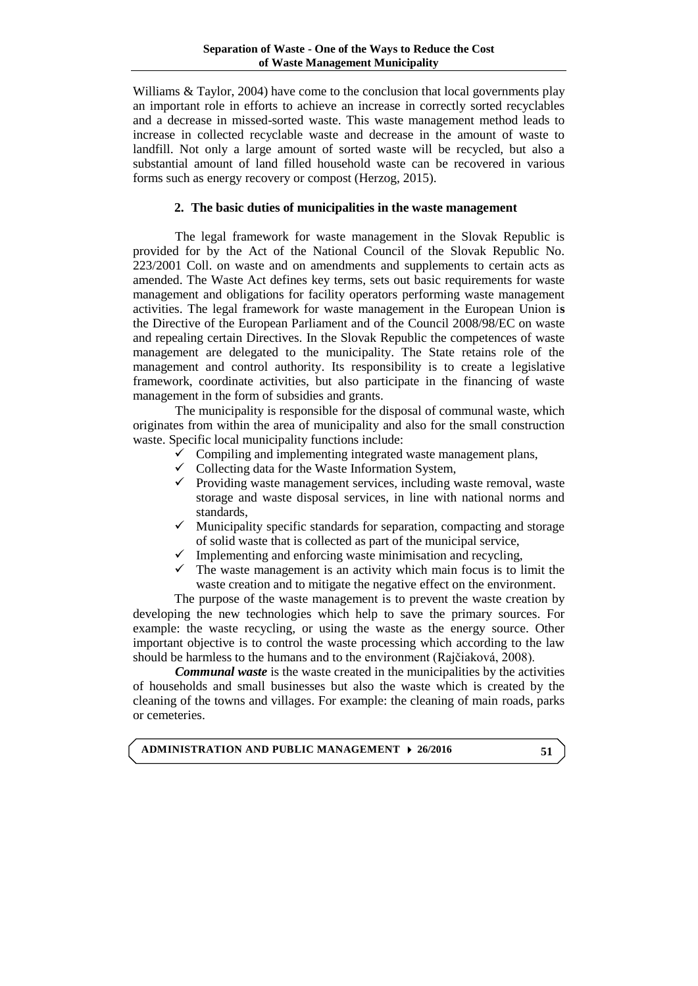Williams & Taylor, 2004) have come to the conclusion that local governments play an important role in efforts to achieve an increase in correctly sorted recyclables and a decrease in missed-sorted waste. This waste management method leads to increase in collected recyclable waste and decrease in the amount of waste to landfill. Not only a large amount of sorted waste will be recycled, but also a substantial amount of land filled household waste can be recovered in various forms such as energy recovery or compost (Herzog, 2015).

#### **2. The basic duties of municipalities in the waste management**

The legal framework for waste management in the Slovak Republic is provided for by the Act of the National Council of the Slovak Republic No. 223/2001 Coll. on waste and on amendments and supplements to certain acts as amended. The Waste Act defines key terms, sets out basic requirements for waste management and obligations for facility operators performing waste management activities. The legal framework for waste management in the European Union i**s**  the Directive of the European Parliament and of the Council 2008/98/EC on waste and repealing certain Directives. In the Slovak Republic the competences of waste management are delegated to the municipality. The State retains role of the management and control authority. Its responsibility is to create a legislative framework, coordinate activities, but also participate in the financing of waste management in the form of subsidies and grants.

The municipality is responsible for the disposal of communal waste, which originates from within the area of municipality and also for the small construction waste. Specific local municipality functions include:

- $\checkmark$  Compiling and implementing integrated waste management plans,
- $\checkmark$  Collecting data for the Waste Information System,
- $\checkmark$  Providing waste management services, including waste removal, waste storage and waste disposal services, in line with national norms and standards,
- $\checkmark$  Municipality specific standards for separation, compacting and storage of solid waste that is collected as part of the municipal service,
- $\checkmark$  Implementing and enforcing waste minimisation and recycling,
- $\checkmark$  The waste management is an activity which main focus is to limit the waste creation and to mitigate the negative effect on the environment.

The purpose of the waste management is to prevent the waste creation by developing the new technologies which help to save the primary sources. For example: the waste recycling, or using the waste as the energy source. Other important objective is to control the waste processing which according to the law should be harmless to the humans and to the environment (Rajčiaková, 2008).

*Communal waste* is the waste created in the municipalities by the activities of households and small businesses but also the waste which is created by the cleaning of the towns and villages. For example: the cleaning of main roads, parks or cemeteries.

**ADMINISTRATION AND PUBLIC MANAGEMENT 26/2016**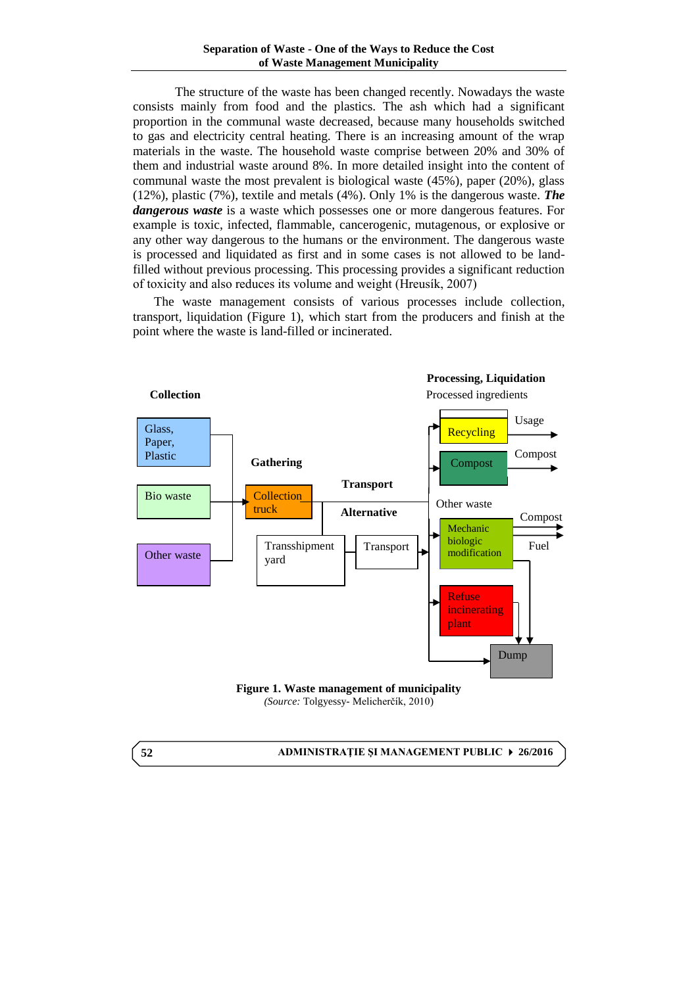The structure of the waste has been changed recently. Nowadays the waste consists mainly from food and the plastics. The ash which had a significant proportion in the communal waste decreased, because many households switched to gas and electricity central heating. There is an increasing amount of the wrap materials in the waste. The household waste comprise between 20% and 30% of them and industrial waste around 8%. In more detailed insight into the content of communal waste the most prevalent is biological waste (45%), paper (20%), glass (12%), plastic (7%), textile and metals (4%). Only 1% is the dangerous waste. *The dangerous waste* is a waste which possesses one or more dangerous features. For example is toxic, infected, flammable, [cancerogenic,](http://slovnik.azet.sk/preklad/anglicko-slovensky/?q=cancerogenic) mutagenous, or explosive or any other way dangerous to the humans or the environment. The dangerous waste is processed and liquidated as first and in some cases is not allowed to be landfilled without previous processing. This processing provides a significant reduction of toxicity and also reduces its volume and weight (Hreusík, 2007)

The waste management consists of various processes include collection, transport, liquidation (Figure 1), which start from the producers and finish at the point where the waste is land-filled or incinerated.



*(Source:* Tolgyessy- Melicherčík, 2010)

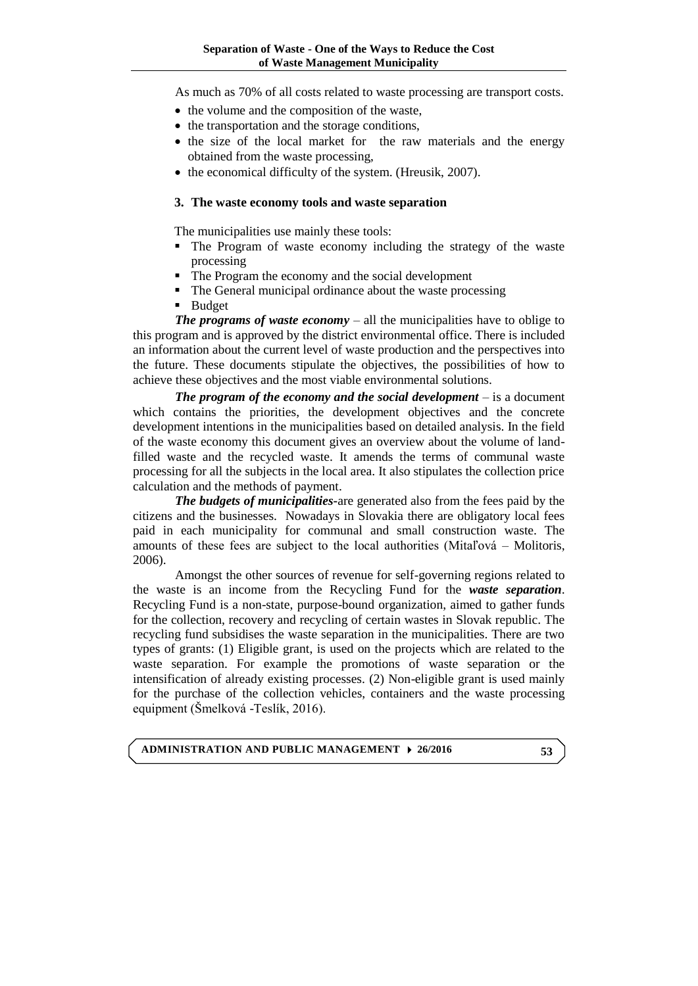As much as 70% of all costs related to waste processing are transport costs.

- the volume and the composition of the waste,
- the transportation and the storage conditions,
- the size of the local market for the raw materials and the energy obtained from the waste processing,
- the economical difficulty of the system. (Hreusik, 2007).

### **3. The waste economy tools and waste separation**

The municipalities use mainly these tools:

- The Program of waste economy including the strategy of the waste processing
- The Program the economy and the social development
- The General municipal ordinance about the waste processing
- **Budget**

*The programs of waste economy* – all the municipalities have to oblige to this program and is approved by the district environmental office. There is included an information about the current level of waste production and the perspectives into the future. These documents stipulate the objectives, the possibilities of how to achieve these objectives and the most viable environmental solutions.

*The program of the economy and the social development* – is a document which contains the priorities, the development objectives and the concrete development intentions in the municipalities based on detailed analysis. In the field of the waste economy this document gives an overview about the volume of landfilled waste and the recycled waste. It amends the terms of communal waste processing for all the subjects in the local area. It also stipulates the collection price calculation and the methods of payment.

*The budgets of municipalities***-**are generated also from the fees paid by the citizens and the businesses. Nowadays in Slovakia there are obligatory local fees paid in each municipality for communal and small construction waste. The amounts of these fees are subject to the local authorities (Mitaľová – Molitoris, 2006).

Amongst the other sources of revenue for self-governing regions related to the waste is an income from the Recycling Fund for the *waste separation*. Recycling Fund is a non-state, purpose-bound organization, aimed to gather funds for the collection, recovery and recycling of certain wastes in Slovak republic. The recycling fund subsidises the waste separation in the municipalities. There are two types of grants: (1) Eligible grant, is used on the projects which are related to the waste separation. For example the promotions of waste separation or the intensification of already existing processes. (2) Non-eligible grant is used mainly for the purchase of the collection vehicles, containers and the waste processing equipment (Šmelková -Teslík, 2016).

**ADMINISTRATION AND PUBLIC MANAGEMENT 26/2016**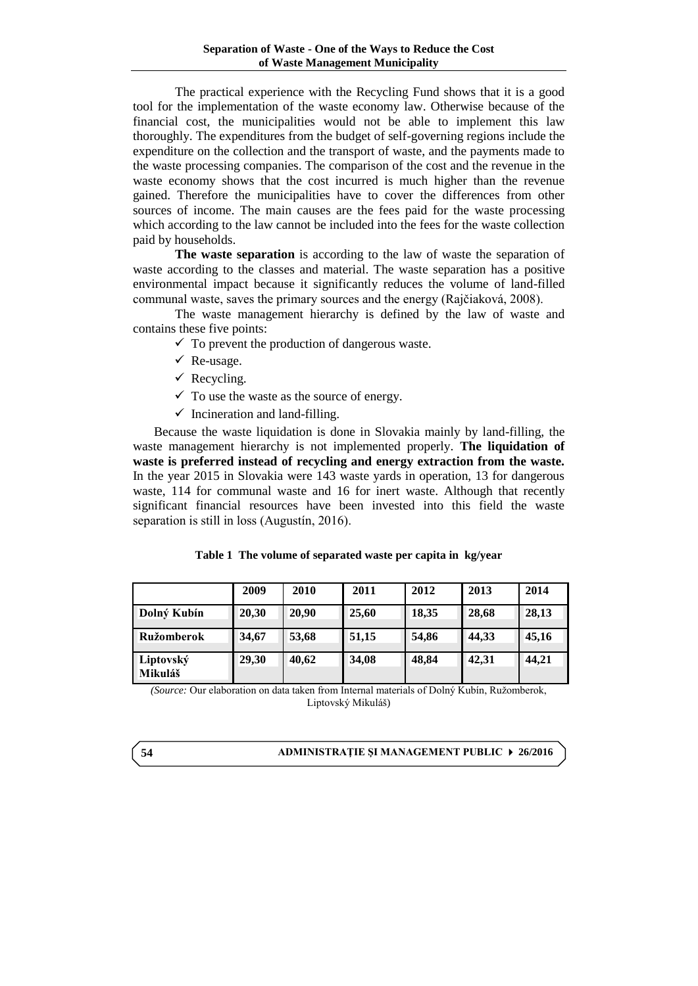The practical experience with the Recycling Fund shows that it is a good tool for the implementation of the waste economy law. Otherwise because of the financial cost, the municipalities would not be able to implement this law thoroughly. The expenditures from the budget of self-governing regions include the expenditure on the collection and the transport of waste, and the payments made to the waste processing companies. The comparison of the cost and the revenue in the waste economy shows that the cost incurred is much higher than the revenue gained. Therefore the municipalities have to cover the differences from other sources of income. The main causes are the fees paid for the waste processing which according to the law cannot be included into the fees for the waste collection paid by households.

**The waste separation** is according to the law of waste the separation of waste according to the classes and material. The waste separation has a positive environmental impact because it significantly reduces the volume of land-filled communal waste, saves the primary sources and the energy (Rajčiaková, 2008).

The waste management hierarchy is defined by the law of waste and contains these five points:

 $\checkmark$  To prevent the production of dangerous waste.

- $\checkmark$  Re-usage.
- $\checkmark$  Recycling.
- $\checkmark$  To use the waste as the source of energy.
- $\checkmark$  Incineration and land-filling.

Because the waste liquidation is done in Slovakia mainly by land-filling, the waste management hierarchy is not implemented properly. **The liquidation of waste is preferred instead of recycling and energy extraction from the waste.** In the year 2015 in Slovakia were 143 waste yards in operation, 13 for dangerous waste, 114 for communal waste and 16 for inert waste. Although that recently significant financial resources have been invested into this field the waste separation is still in loss (Augustín, 2016).

|  |  |  |  | Table 1 The volume of separated waste per capita in kg/year |  |  |  |  |  |
|--|--|--|--|-------------------------------------------------------------|--|--|--|--|--|
|--|--|--|--|-------------------------------------------------------------|--|--|--|--|--|

|                      | 2009  | 2010  | 2011  | 2012  | 2013  | 2014  |
|----------------------|-------|-------|-------|-------|-------|-------|
| Dolný Kubín          | 20,30 | 20,90 | 25,60 | 18,35 | 28,68 | 28,13 |
| Ružomberok           | 34,67 | 53,68 | 51,15 | 54,86 | 44,33 | 45,16 |
| Liptovský<br>Mikuláš | 29,30 | 40,62 | 34,08 | 48,84 | 42,31 | 44,21 |

*(Source:* Our elaboration on data taken from Internal materials of Dolný Kubín, Ružomberok, Liptovský Mikuláš)

#### **ADMINISTRAŢIE ŞI MANAGEMENT PUBLIC 26/2016**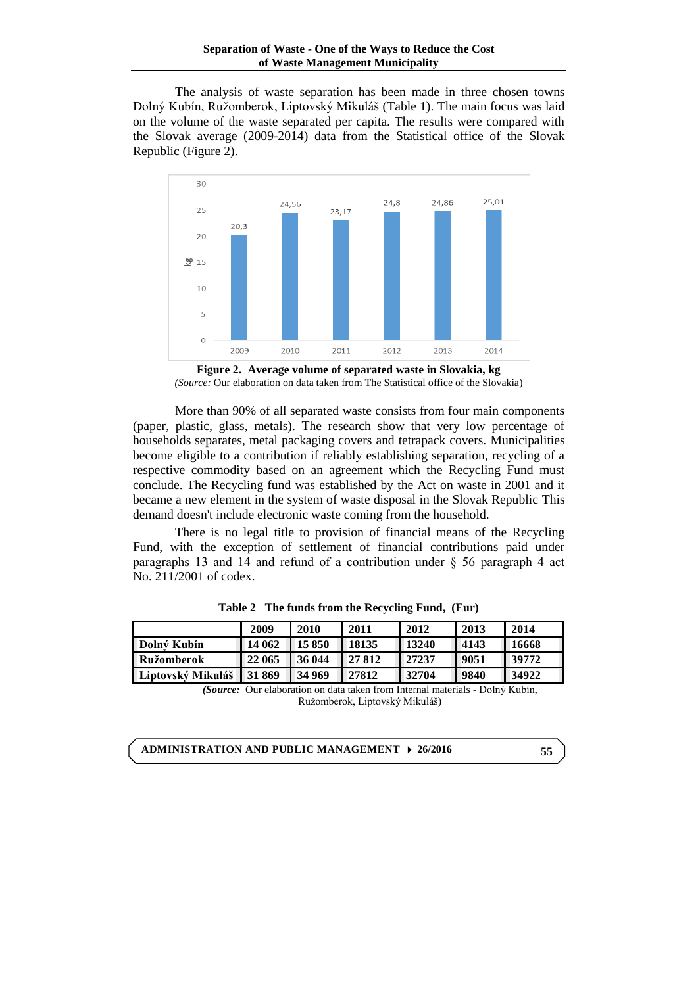The analysis of waste separation has been made in three chosen towns Dolný Kubín, Ružomberok, Liptovský Mikuláš (Table 1). The main focus was laid on the volume of the waste separated per capita. The results were compared with the Slovak average (2009-2014) data from the Statistical office of the Slovak Republic (Figure 2).



**Figure 2. Average volume of separated waste in Slovakia, kg** *(Source:* Our elaboration on data taken from The Statistical office of the Slovakia)

More than 90% of all separated waste consists from four main components (paper, plastic, glass, metals). The research show that very low percentage of households separates, metal packaging covers and tetrapack covers. Municipalities become eligible to a contribution if reliably establishing separation, recycling of a respective commodity based on an agreement which the Recycling Fund must conclude. The Recycling fund was established by the Act on waste in 2001 and it became a new element in the system of waste disposal in the Slovak Republic This demand doesn't include electronic waste coming from the household.

There is no legal title to provision of financial means of the Recycling Fund, with the exception of settlement of financial contributions paid under paragraphs 13 and 14 and refund of a contribution under § 56 paragraph 4 act No. 211/2001 of codex.

|                          | 2009   | 2010   | 2011   | 2012  | 2013 | 2014  |
|--------------------------|--------|--------|--------|-------|------|-------|
| Dolný Kubín              | 14062  | 15850  | 18135  | 13240 | 4143 | 16668 |
| Ružomberok               | 122065 | 136044 | 127812 | 27237 | 9051 | 39772 |
| <b>Liptovský Mikuláš</b> | 131869 | 134969 | 27812  | 32704 | 9840 | 34922 |

**Table 2 The funds from the Recycling Fund, (Eur)**

*(Source:* Our elaboration on data taken from Internal materials - Dolný Kubín, Ružomberok, Liptovský Mikuláš)

**ADMINISTRATION AND PUBLIC MANAGEMENT 26/2016**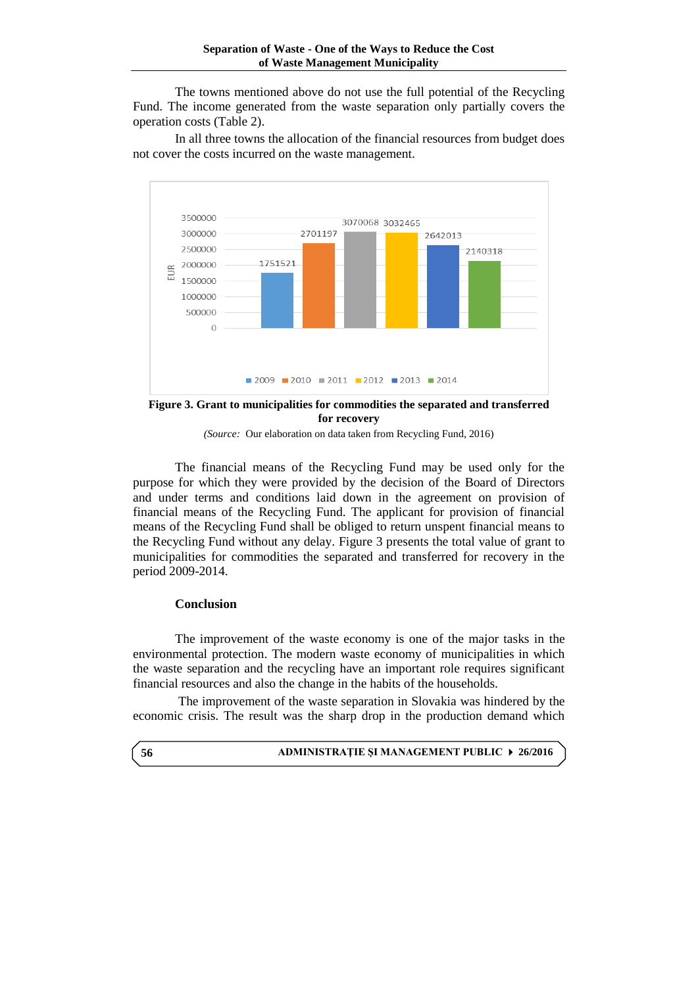The towns mentioned above do not use the full potential of the Recycling Fund. The income generated from the waste separation only partially covers the operation costs (Table 2).

In all three towns the allocation of the financial resources from budget does not cover the costs incurred on the waste management.



**Figure 3. Grant to municipalities for commodities the separated and transferred for recovery**

*(Source:*Our elaboration on data taken from Recycling Fund, 2016)

The financial means of the Recycling Fund may be used only for the purpose for which they were provided by the decision of the Board of Directors and under terms and conditions laid down in the agreement on provision of financial means of the Recycling Fund. The applicant for provision of financial means of the Recycling Fund shall be obliged to return unspent financial means to the Recycling Fund without any delay. Figure 3 presents the total value of grant to municipalities for commodities the separated and transferred for recovery in the period 2009-2014.

#### **Conclusion**

The improvement of the waste economy is one of the major tasks in the environmental protection. The modern waste economy of municipalities in which the waste separation and the recycling have an important role requires significant financial resources and also the change in the habits of the households.

The improvement of the waste separation in Slovakia was hindered by the economic crisis. The result was the sharp drop in the production demand which

|  | ADMINISTRAȚIE ȘI MANAGEMENT PUBLIC ▶ 26/2016 |  |  |
|--|----------------------------------------------|--|--|
|--|----------------------------------------------|--|--|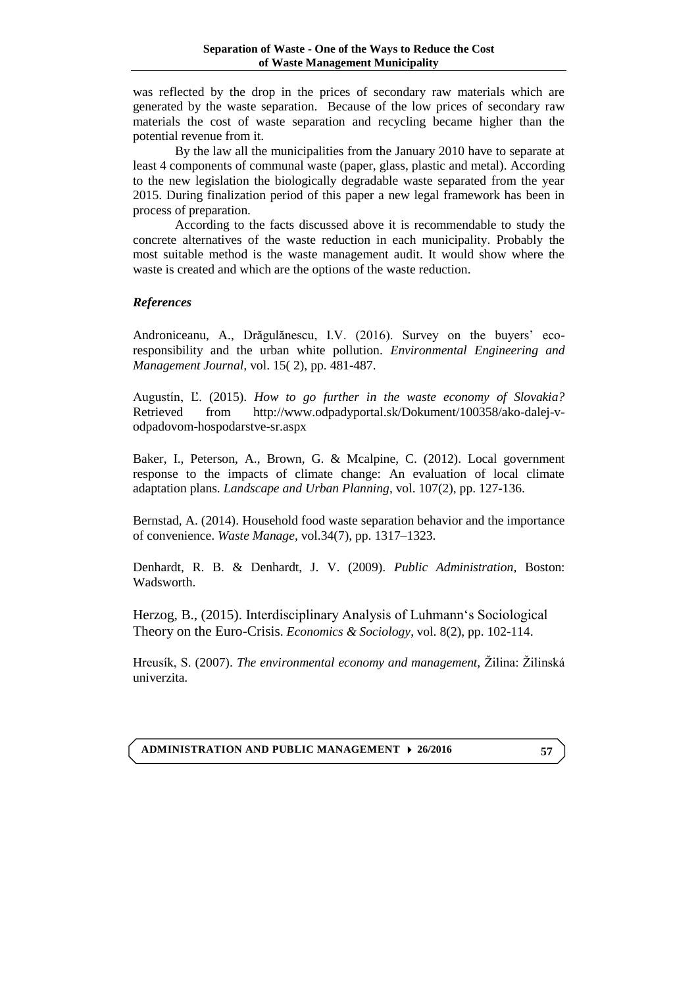was reflected by the drop in the prices of secondary raw materials which are generated by the waste separation. Because of the low prices of secondary raw materials the cost of waste separation and recycling became higher than the potential revenue from it.

By the law all the municipalities from the January 2010 have to separate at least 4 components of communal waste (paper, glass, plastic and metal). According to the new legislation the biologically degradable waste separated from the year 2015. During finalization period of this paper a new legal framework has been in process of preparation.

According to the facts discussed above it is recommendable to study the concrete alternatives of the waste reduction in each municipality. Probably the most suitable method is the waste management audit. It would show where the waste is created and which are the options of the waste reduction.

## *References*

Androniceanu, A., Drăgulănescu, I.V. (2016). Survey on the buyers' ecoresponsibility and the urban white pollution. *Environmental Engineering and Management Journal,* vol. 15( 2), pp. 481-487.

Augustín, Ľ. (2015). *How to go further in the waste economy of Slovakia?* Retrieved from [http://www.odpadyportal.sk/Dokument/100358/ako-dalej-v](http://www.odpadyportal.sk/Dokument/100358/ako-dalej-v-odpadovom-hospodarstve-sr.aspx)[odpadovom-hospodarstve-sr.aspx](http://www.odpadyportal.sk/Dokument/100358/ako-dalej-v-odpadovom-hospodarstve-sr.aspx)

Baker, I., Peterson, A., Brown, G. & Mcalpine, C. (2012). Local government response to the impacts of climate change: An evaluation of local climate adaptation plans. *Landscape and Urban Planning*, vol. 107(2), pp. 127-136.

Bernstad, A. (2014). Household food waste separation behavior and the importance of convenience. *Waste Manage,* vol.34(7), pp. 1317–1323.

Denhardt, R. B. & Denhardt, J. V. (2009). *Public Administration,* Boston: Wadsworth.

Herzog, B., (2015). Interdisciplinary Analysis of Luhmann's Sociological Theory on the Euro-Crisis. *Economics & Sociology*, vol. 8(2), pp. 102-114.

Hreusík, S. (2007). *The environmental economy and management,* Žilina: Žilinská univerzita.

**ADMINISTRATION AND PUBLIC MANAGEMENT 26/2016**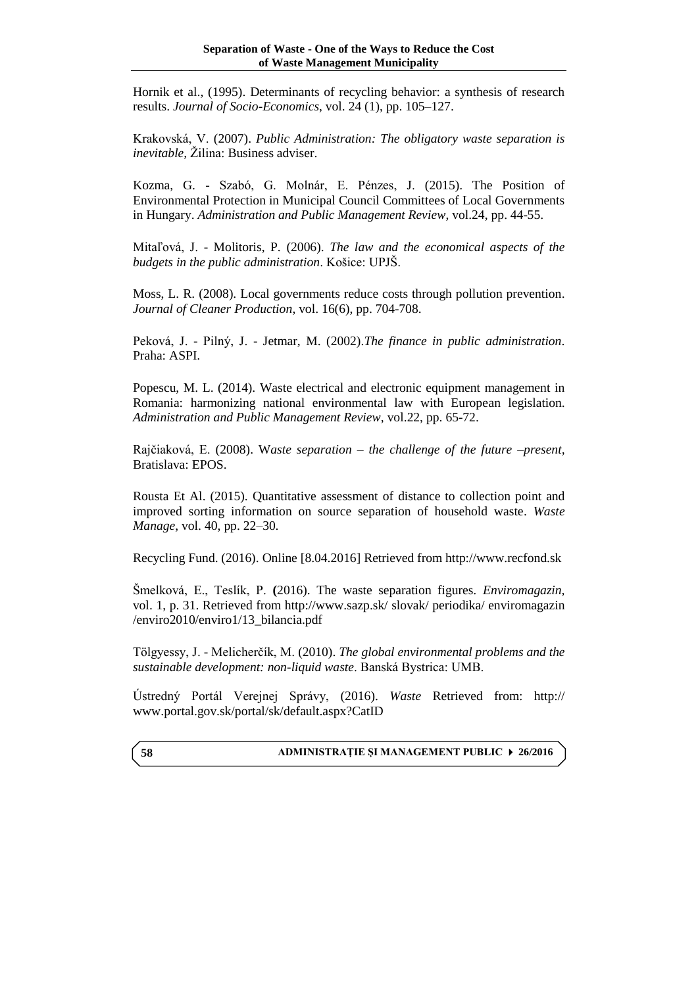Hornik et al., (1995). Determinants of recycling behavior: a synthesis of research results. *Journal of Socio-Economics*, vol. 24 (1), pp. 105–127.

Krakovská, V. (2007). *Public Administration: The obligatory waste separation is inevitable,* Žilina: Business adviser.

Kozma, G. - Szabó, G. Molnár, E. Pénzes, J. (2015). The Position of Environmental Protection in Municipal Council Committees of Local Governments in Hungary. *Administration and Public Management Review*, vol.24, pp. 44-55.

Mitaľová, J. - Molitoris, P. (2006). *The law and the economical aspects of the budgets in the public administration*. Košice: UPJŠ.

Moss, L. R. (2008). Local governments reduce costs through pollution prevention. *Journal of Cleaner Production*, vol. 16(6), pp. 704-708.

Peková, J. - Pilný, J. - Jetmar, M. (2002).*The finance in public administration*. Praha: ASPI.

Popescu, M. L. (2014). Waste electrical and electronic equipment management in Romania: harmonizing national environmental law with European legislation. *Administration and Public Management Review*, vol.22, pp. 65-72.

Rajčiaková, E. (2008). W*aste separation – the challenge of the future –present,*  Bratislava: EPOS.

[Rousta Et Al. \(](http://www.sciencedirect.com/science/article/pii/S0956053X1630109X#b0180)2015). Quantitative assessment of distance to collection point and improved sorting information on source separation of household waste. *Waste Manage*, vol. 40, pp. 22–30.

Recycling Fund. (2016). Online [8.04.2016] Retrieved from http://www.recfond.sk

Šmelková, E., Teslík, P. **(**2016). The waste separation figures*. Enviromagazin,*  vol. 1, p. 31. Retrieved from<http://www.sazp.sk/> slovak/ periodika/ enviromagazin /enviro2010/enviro1/13\_bilancia.pdf

Tölgyessy, J. - Melicherčík, M. (2010). *The global environmental problems and the sustainable development: non-liquid waste*. Banská Bystrica: UMB.

Ústredný Portál Verejnej Správy, (2016). *Waste* Retrieved from: http:// [www.portal.gov.sk/portal/sk/default.aspx?CatID](http://www.portal.gov.sk/portal/sk/default.aspx?CatID)

#### **ADMINISTRAŢIE ŞI MANAGEMENT PUBLIC 26/2016**